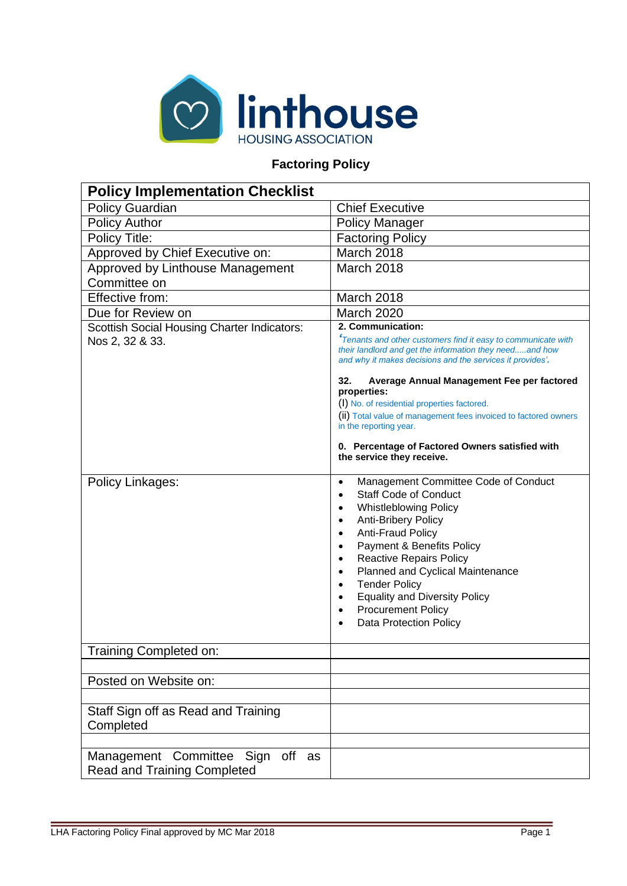

# **Factoring Policy**

| <b>Policy Implementation Checklist</b>                                 |                                                                                                                                                                                                                                                                                                                                                                                                                                                                                                                                               |
|------------------------------------------------------------------------|-----------------------------------------------------------------------------------------------------------------------------------------------------------------------------------------------------------------------------------------------------------------------------------------------------------------------------------------------------------------------------------------------------------------------------------------------------------------------------------------------------------------------------------------------|
| Policy Guardian                                                        | <b>Chief Executive</b>                                                                                                                                                                                                                                                                                                                                                                                                                                                                                                                        |
| <b>Policy Author</b>                                                   | <b>Policy Manager</b>                                                                                                                                                                                                                                                                                                                                                                                                                                                                                                                         |
| Policy Title:                                                          | <b>Factoring Policy</b>                                                                                                                                                                                                                                                                                                                                                                                                                                                                                                                       |
| Approved by Chief Executive on:                                        | March 2018                                                                                                                                                                                                                                                                                                                                                                                                                                                                                                                                    |
| Approved by Linthouse Management                                       | March 2018                                                                                                                                                                                                                                                                                                                                                                                                                                                                                                                                    |
| Committee on                                                           |                                                                                                                                                                                                                                                                                                                                                                                                                                                                                                                                               |
| Effective from:                                                        | March 2018                                                                                                                                                                                                                                                                                                                                                                                                                                                                                                                                    |
| Due for Review on                                                      | March 2020                                                                                                                                                                                                                                                                                                                                                                                                                                                                                                                                    |
| <b>Scottish Social Housing Charter Indicators:</b>                     | 2. Communication:                                                                                                                                                                                                                                                                                                                                                                                                                                                                                                                             |
| Nos 2, 32 & 33.                                                        | <sup>f</sup> Tenants and other customers find it easy to communicate with<br>their landlord and get the information they needand how<br>and why it makes decisions and the services it provides'.                                                                                                                                                                                                                                                                                                                                             |
|                                                                        | 32.<br>Average Annual Management Fee per factored<br>properties:                                                                                                                                                                                                                                                                                                                                                                                                                                                                              |
|                                                                        | (I) No. of residential properties factored.                                                                                                                                                                                                                                                                                                                                                                                                                                                                                                   |
|                                                                        | (ii) Total value of management fees invoiced to factored owners<br>in the reporting year.                                                                                                                                                                                                                                                                                                                                                                                                                                                     |
|                                                                        | 0. Percentage of Factored Owners satisfied with<br>the service they receive.                                                                                                                                                                                                                                                                                                                                                                                                                                                                  |
| Policy Linkages:                                                       | Management Committee Code of Conduct<br>$\bullet$<br><b>Staff Code of Conduct</b><br>$\bullet$<br><b>Whistleblowing Policy</b><br>$\bullet$<br>Anti-Bribery Policy<br>$\bullet$<br>Anti-Fraud Policy<br>$\bullet$<br>Payment & Benefits Policy<br>$\bullet$<br><b>Reactive Repairs Policy</b><br>$\bullet$<br>Planned and Cyclical Maintenance<br>$\bullet$<br><b>Tender Policy</b><br>$\bullet$<br><b>Equality and Diversity Policy</b><br>$\bullet$<br><b>Procurement Policy</b><br>$\bullet$<br><b>Data Protection Policy</b><br>$\bullet$ |
| Training Completed on:                                                 |                                                                                                                                                                                                                                                                                                                                                                                                                                                                                                                                               |
|                                                                        |                                                                                                                                                                                                                                                                                                                                                                                                                                                                                                                                               |
| Posted on Website on:                                                  |                                                                                                                                                                                                                                                                                                                                                                                                                                                                                                                                               |
|                                                                        |                                                                                                                                                                                                                                                                                                                                                                                                                                                                                                                                               |
| Staff Sign off as Read and Training<br>Completed                       |                                                                                                                                                                                                                                                                                                                                                                                                                                                                                                                                               |
|                                                                        |                                                                                                                                                                                                                                                                                                                                                                                                                                                                                                                                               |
| Management Committee Sign off as<br><b>Read and Training Completed</b> |                                                                                                                                                                                                                                                                                                                                                                                                                                                                                                                                               |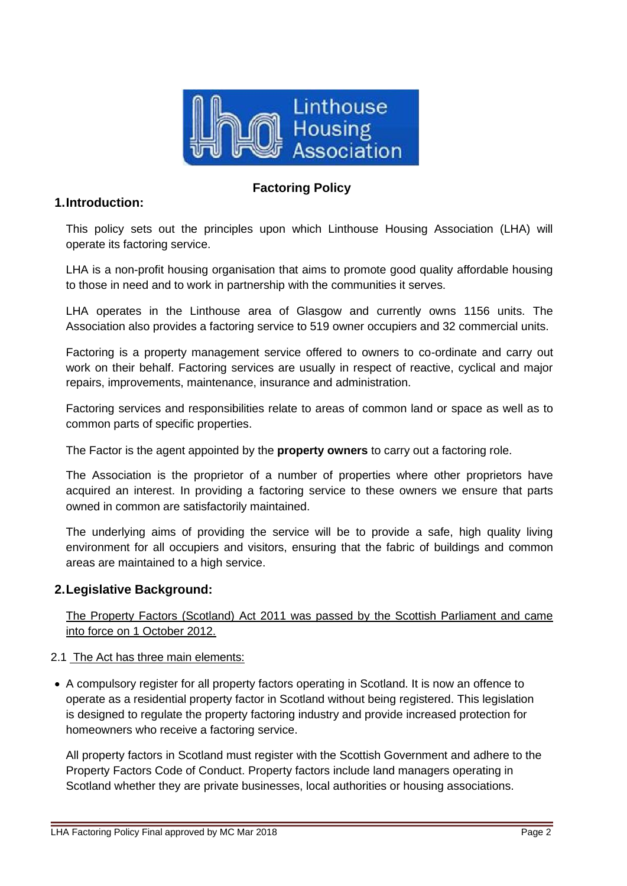

## **1.Introduction:**

## **Factoring Policy**

This policy sets out the principles upon which Linthouse Housing Association (LHA) will operate its factoring service.

LHA is a non-profit housing organisation that aims to promote good quality affordable housing to those in need and to work in partnership with the communities it serves.

LHA operates in the Linthouse area of Glasgow and currently owns 1156 units. The Association also provides a factoring service to 519 owner occupiers and 32 commercial units.

Factoring is a property management service offered to owners to co-ordinate and carry out work on their behalf. Factoring services are usually in respect of reactive, cyclical and major repairs, improvements, maintenance, insurance and administration.

Factoring services and responsibilities relate to areas of common land or space as well as to common parts of specific properties.

The Factor is the agent appointed by the **property owners** to carry out a factoring role.

The Association is the proprietor of a number of properties where other proprietors have acquired an interest. In providing a factoring service to these owners we ensure that parts owned in common are satisfactorily maintained.

The underlying aims of providing the service will be to provide a safe, high quality living environment for all occupiers and visitors, ensuring that the fabric of buildings and common areas are maintained to a high service.

## **2.Legislative Background:**

The Property Factors (Scotland) Act 2011 was passed by the Scottish Parliament and came into force on 1 October 2012.

#### 2.1 The Act has three main elements:

• A compulsory register for all property factors operating in Scotland. It is now an offence to operate as a residential property factor in Scotland without being registered. This legislation is designed to regulate the property factoring industry and provide increased protection for homeowners who receive a factoring service.

All property factors in Scotland must register with the Scottish Government and adhere to the Property Factors Code of Conduct. Property factors include land managers operating in Scotland whether they are private businesses, local authorities or housing associations.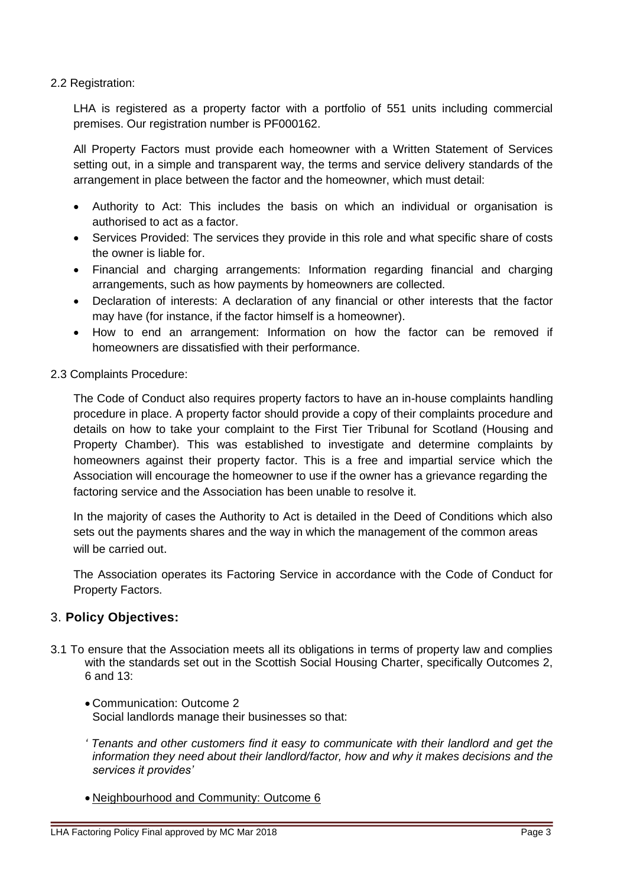#### 2.2 Registration:

LHA is registered as a property factor with a portfolio of 551 units including commercial premises. Our registration number is PF000162.

All Property Factors must provide each homeowner with a Written Statement of Services setting out, in a simple and transparent way, the terms and service delivery standards of the arrangement in place between the factor and the homeowner, which must detail:

- Authority to Act: This includes the basis on which an individual or organisation is authorised to act as a factor.
- Services Provided: The services they provide in this role and what specific share of costs the owner is liable for.
- Financial and charging arrangements: Information regarding financial and charging arrangements, such as how payments by homeowners are collected.
- Declaration of interests: A declaration of any financial or other interests that the factor may have (for instance, if the factor himself is a homeowner).
- How to end an arrangement: Information on how the factor can be removed if homeowners are dissatisfied with their performance.
- 2.3 Complaints Procedure:

The Code of Conduct also requires property factors to have an in-house complaints handling procedure in place. A property factor should provide a copy of their complaints procedure and details on how to take your complaint to the First Tier Tribunal for Scotland (Housing and Property Chamber). This was established to investigate and determine complaints by homeowners against their property factor. This is a free and impartial service which the Association will encourage the homeowner to use if the owner has a grievance regarding the factoring service and the Association has been unable to resolve it.

In the majority of cases the Authority to Act is detailed in the Deed of Conditions which also sets out the payments shares and the way in which the management of the common areas will be carried out.

The Association operates its Factoring Service in accordance with the Code of Conduct for Property Factors.

## 3. **Policy Objectives:**

- 3.1 To ensure that the Association meets all its obligations in terms of property law and complies with the standards set out in the Scottish Social Housing Charter, specifically Outcomes 2, 6 and  $13<sup>·</sup>$ 
	- Communication: Outcome 2 Social landlords manage their businesses so that:
	- *' Tenants and other customers find it easy to communicate with their landlord and get the information they need about their landlord/factor, how and why it makes decisions and the services it provides'*
	- Neighbourhood and Community: Outcome 6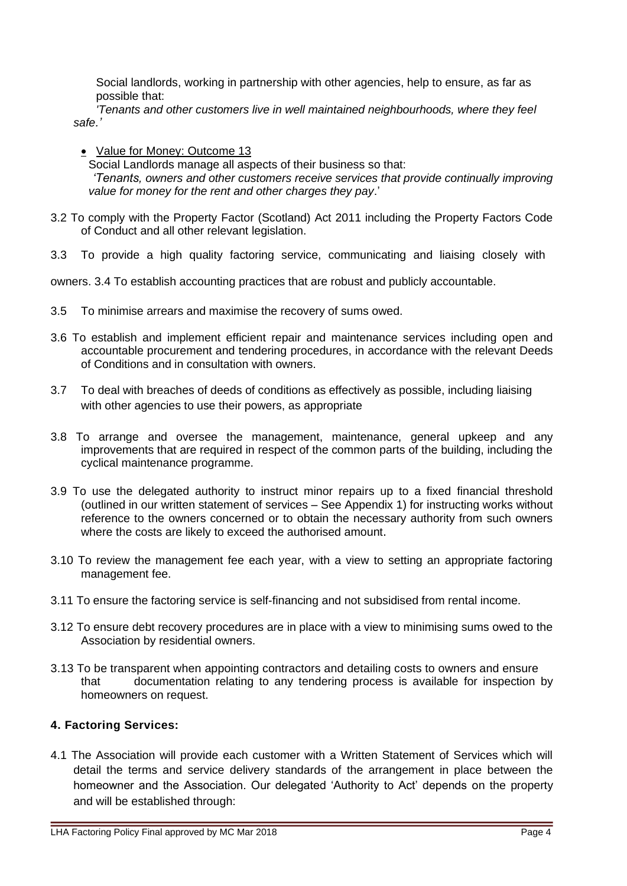Social landlords, working in partnership with other agencies, help to ensure, as far as possible that:

*'Tenants and other customers live in well maintained neighbourhoods, where they feel safe.'*

• Value for Money: Outcome 13

Social Landlords manage all aspects of their business so that: *'Tenants, owners and other customers receive services that provide continually improving value for money for the rent and other charges they pay*.'

- 3.2 To comply with the Property Factor (Scotland) Act 2011 including the Property Factors Code of Conduct and all other relevant legislation.
- 3.3 To provide a high quality factoring service, communicating and liaising closely with

owners. 3.4 To establish accounting practices that are robust and publicly accountable.

- 3.5 To minimise arrears and maximise the recovery of sums owed.
- 3.6 To establish and implement efficient repair and maintenance services including open and accountable procurement and tendering procedures, in accordance with the relevant Deeds of Conditions and in consultation with owners.
- 3.7 To deal with breaches of deeds of conditions as effectively as possible, including liaising with other agencies to use their powers, as appropriate
- 3.8 To arrange and oversee the management, maintenance, general upkeep and any improvements that are required in respect of the common parts of the building, including the cyclical maintenance programme.
- 3.9 To use the delegated authority to instruct minor repairs up to a fixed financial threshold (outlined in our written statement of services – See Appendix 1) for instructing works without reference to the owners concerned or to obtain the necessary authority from such owners where the costs are likely to exceed the authorised amount.
- 3.10 To review the management fee each year, with a view to setting an appropriate factoring management fee.
- 3.11 To ensure the factoring service is self-financing and not subsidised from rental income.
- 3.12 To ensure debt recovery procedures are in place with a view to minimising sums owed to the Association by residential owners.
- 3.13 To be transparent when appointing contractors and detailing costs to owners and ensure that documentation relating to any tendering process is available for inspection by homeowners on request.

#### **4. Factoring Services:**

4.1 The Association will provide each customer with a Written Statement of Services which will detail the terms and service delivery standards of the arrangement in place between the homeowner and the Association. Our delegated 'Authority to Act' depends on the property and will be established through: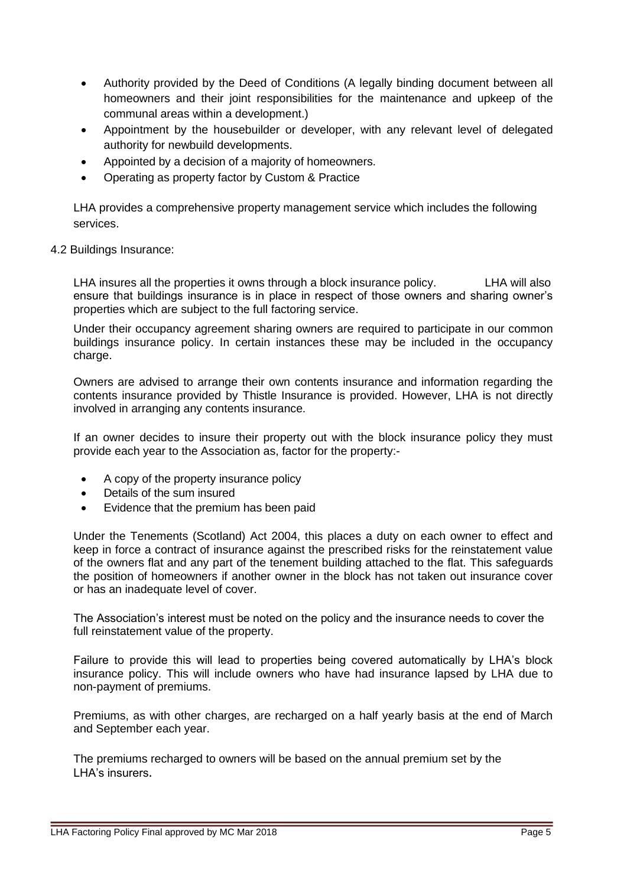- Authority provided by the Deed of Conditions (A legally binding document between all homeowners and their joint responsibilities for the maintenance and upkeep of the communal areas within a development.)
- Appointment by the housebuilder or developer, with any relevant level of delegated authority for newbuild developments.
- Appointed by a decision of a majority of homeowners.
- Operating as property factor by Custom & Practice

LHA provides a comprehensive property management service which includes the following services.

#### 4.2 Buildings Insurance:

LHA insures all the properties it owns through a block insurance policy. LHA will also ensure that buildings insurance is in place in respect of those owners and sharing owner's properties which are subject to the full factoring service.

Under their occupancy agreement sharing owners are required to participate in our common buildings insurance policy. In certain instances these may be included in the occupancy charge.

Owners are advised to arrange their own contents insurance and information regarding the contents insurance provided by Thistle Insurance is provided. However, LHA is not directly involved in arranging any contents insurance.

If an owner decides to insure their property out with the block insurance policy they must provide each year to the Association as, factor for the property:-

- A copy of the property insurance policy
- Details of the sum insured
- Evidence that the premium has been paid

Under the Tenements (Scotland) Act 2004, this places a duty on each owner to effect and keep in force a contract of insurance against the prescribed risks for the reinstatement value of the owners flat and any part of the tenement building attached to the flat. This safeguards the position of homeowners if another owner in the block has not taken out insurance cover or has an inadequate level of cover.

The Association's interest must be noted on the policy and the insurance needs to cover the full reinstatement value of the property.

Failure to provide this will lead to properties being covered automatically by LHA's block insurance policy. This will include owners who have had insurance lapsed by LHA due to non-payment of premiums.

Premiums, as with other charges, are recharged on a half yearly basis at the end of March and September each year.

The premiums recharged to owners will be based on the annual premium set by the LHA's insurers.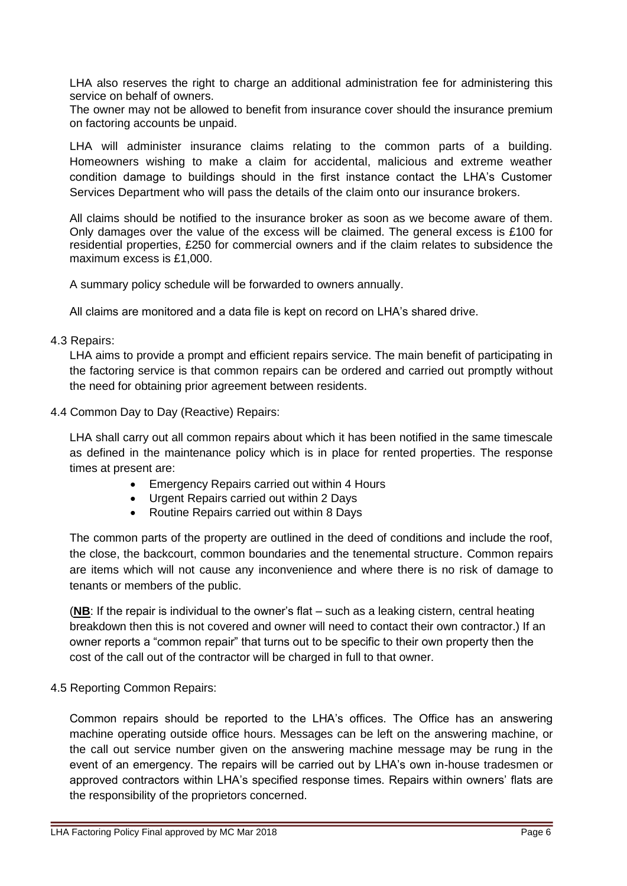LHA also reserves the right to charge an additional administration fee for administering this service on behalf of owners.

The owner may not be allowed to benefit from insurance cover should the insurance premium on factoring accounts be unpaid.

LHA will administer insurance claims relating to the common parts of a building. Homeowners wishing to make a claim for accidental, malicious and extreme weather condition damage to buildings should in the first instance contact the LHA's Customer Services Department who will pass the details of the claim onto our insurance brokers.

All claims should be notified to the insurance broker as soon as we become aware of them. Only damages over the value of the excess will be claimed. The general excess is £100 for residential properties, £250 for commercial owners and if the claim relates to subsidence the maximum excess is £1,000.

A summary policy schedule will be forwarded to owners annually.

All claims are monitored and a data file is kept on record on LHA's shared drive.

#### 4.3 Repairs:

LHA aims to provide a prompt and efficient repairs service. The main benefit of participating in the factoring service is that common repairs can be ordered and carried out promptly without the need for obtaining prior agreement between residents.

4.4 Common Day to Day (Reactive) Repairs:

LHA shall carry out all common repairs about which it has been notified in the same timescale as defined in the maintenance policy which is in place for rented properties. The response times at present are:

- Emergency Repairs carried out within 4 Hours
- Urgent Repairs carried out within 2 Days
- Routine Repairs carried out within 8 Days

The common parts of the property are outlined in the deed of conditions and include the roof, the close, the backcourt, common boundaries and the tenemental structure. Common repairs are items which will not cause any inconvenience and where there is no risk of damage to tenants or members of the public.

(**NB**: If the repair is individual to the owner's flat – such as a leaking cistern, central heating breakdown then this is not covered and owner will need to contact their own contractor.) If an owner reports a "common repair" that turns out to be specific to their own property then the cost of the call out of the contractor will be charged in full to that owner.

#### 4.5 Reporting Common Repairs:

Common repairs should be reported to the LHA's offices. The Office has an answering machine operating outside office hours. Messages can be left on the answering machine, or the call out service number given on the answering machine message may be rung in the event of an emergency. The repairs will be carried out by LHA's own in-house tradesmen or approved contractors within LHA's specified response times. Repairs within owners' flats are the responsibility of the proprietors concerned.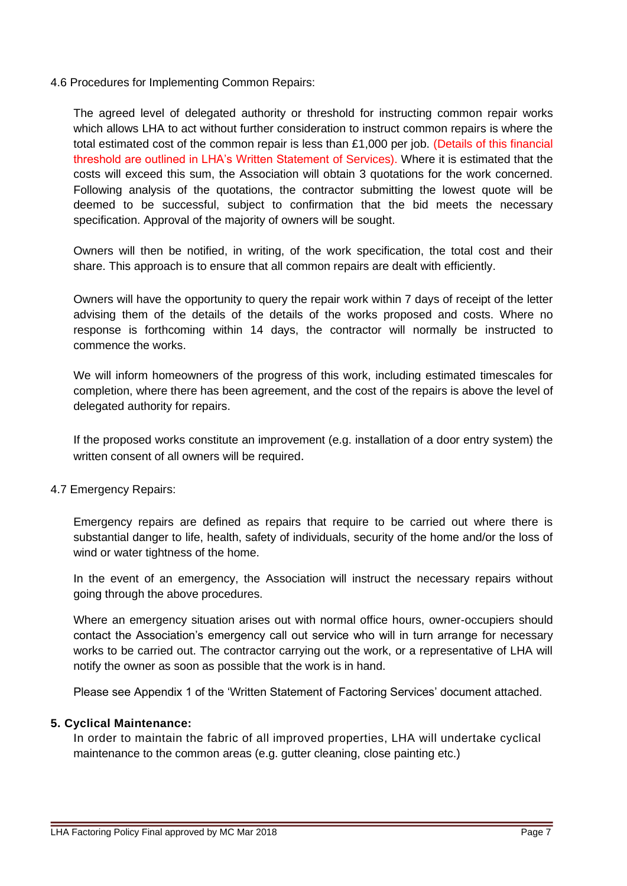4.6 Procedures for Implementing Common Repairs:

The agreed level of delegated authority or threshold for instructing common repair works which allows LHA to act without further consideration to instruct common repairs is where the total estimated cost of the common repair is less than £1,000 per job. (Details of this financial threshold are outlined in LHA's Written Statement of Services). Where it is estimated that the costs will exceed this sum, the Association will obtain 3 quotations for the work concerned. Following analysis of the quotations, the contractor submitting the lowest quote will be deemed to be successful, subject to confirmation that the bid meets the necessary specification. Approval of the majority of owners will be sought.

Owners will then be notified, in writing, of the work specification, the total cost and their share. This approach is to ensure that all common repairs are dealt with efficiently.

Owners will have the opportunity to query the repair work within 7 days of receipt of the letter advising them of the details of the details of the works proposed and costs. Where no response is forthcoming within 14 days, the contractor will normally be instructed to commence the works.

We will inform homeowners of the progress of this work, including estimated timescales for completion, where there has been agreement, and the cost of the repairs is above the level of delegated authority for repairs.

If the proposed works constitute an improvement (e.g. installation of a door entry system) the written consent of all owners will be required.

4.7 Emergency Repairs:

Emergency repairs are defined as repairs that require to be carried out where there is substantial danger to life, health, safety of individuals, security of the home and/or the loss of wind or water tightness of the home.

In the event of an emergency, the Association will instruct the necessary repairs without going through the above procedures.

Where an emergency situation arises out with normal office hours, owner-occupiers should contact the Association's emergency call out service who will in turn arrange for necessary works to be carried out. The contractor carrying out the work, or a representative of LHA will notify the owner as soon as possible that the work is in hand.

Please see Appendix 1 of the 'Written Statement of Factoring Services' document attached.

#### **5. Cyclical Maintenance:**

In order to maintain the fabric of all improved properties, LHA will undertake cyclical maintenance to the common areas (e.g. gutter cleaning, close painting etc.)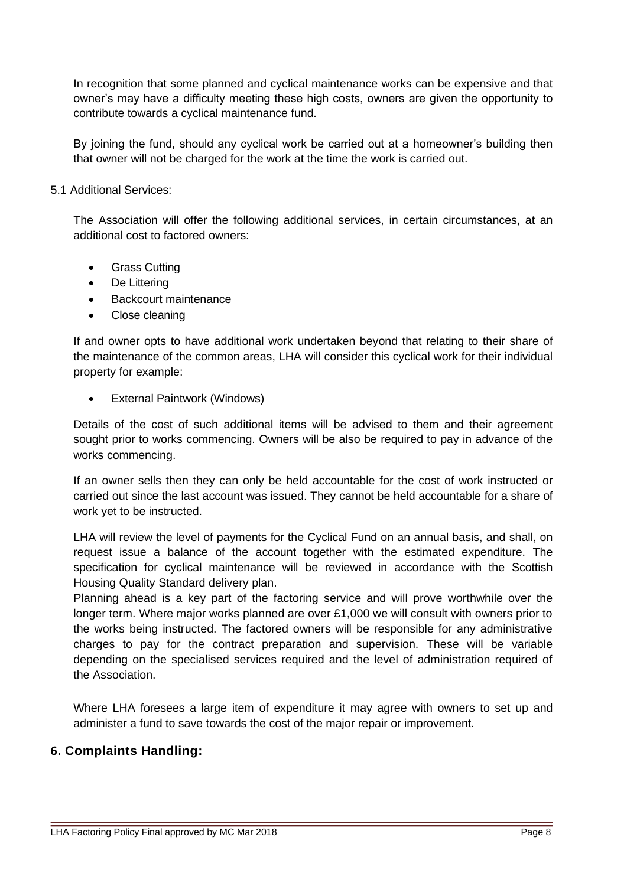In recognition that some planned and cyclical maintenance works can be expensive and that owner's may have a difficulty meeting these high costs, owners are given the opportunity to contribute towards a cyclical maintenance fund.

By joining the fund, should any cyclical work be carried out at a homeowner's building then that owner will not be charged for the work at the time the work is carried out.

#### 5.1 Additional Services:

The Association will offer the following additional services, in certain circumstances, at an additional cost to factored owners:

- Grass Cutting
- De Littering
- Backcourt maintenance
- Close cleaning

If and owner opts to have additional work undertaken beyond that relating to their share of the maintenance of the common areas, LHA will consider this cyclical work for their individual property for example:

**External Paintwork (Windows)** 

Details of the cost of such additional items will be advised to them and their agreement sought prior to works commencing. Owners will be also be required to pay in advance of the works commencing.

If an owner sells then they can only be held accountable for the cost of work instructed or carried out since the last account was issued. They cannot be held accountable for a share of work yet to be instructed.

LHA will review the level of payments for the Cyclical Fund on an annual basis, and shall, on request issue a balance of the account together with the estimated expenditure. The specification for cyclical maintenance will be reviewed in accordance with the Scottish Housing Quality Standard delivery plan.

Planning ahead is a key part of the factoring service and will prove worthwhile over the longer term. Where major works planned are over £1,000 we will consult with owners prior to the works being instructed. The factored owners will be responsible for any administrative charges to pay for the contract preparation and supervision. These will be variable depending on the specialised services required and the level of administration required of the Association.

Where LHA foresees a large item of expenditure it may agree with owners to set up and administer a fund to save towards the cost of the major repair or improvement.

# **6. Complaints Handling:**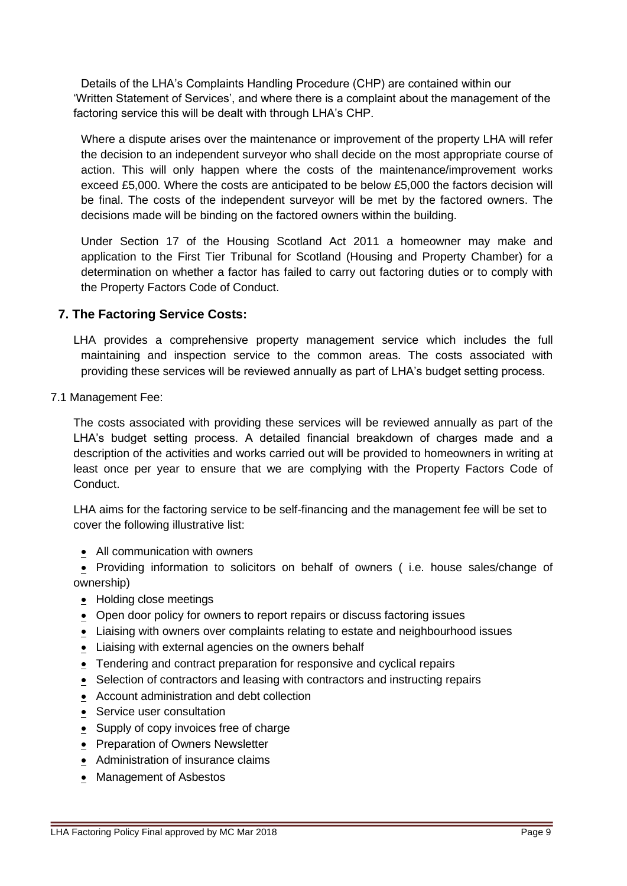Details of the LHA's Complaints Handling Procedure (CHP) are contained within our 'Written Statement of Services', and where there is a complaint about the management of the factoring service this will be dealt with through LHA's CHP.

Where a dispute arises over the maintenance or improvement of the property LHA will refer the decision to an independent surveyor who shall decide on the most appropriate course of action. This will only happen where the costs of the maintenance/improvement works exceed £5,000. Where the costs are anticipated to be below £5,000 the factors decision will be final. The costs of the independent surveyor will be met by the factored owners. The decisions made will be binding on the factored owners within the building.

Under Section 17 of the Housing Scotland Act 2011 a homeowner may make and application to the First Tier Tribunal for Scotland (Housing and Property Chamber) for a determination on whether a factor has failed to carry out factoring duties or to comply with the Property Factors Code of Conduct.

## **7. The Factoring Service Costs:**

LHA provides a comprehensive property management service which includes the full maintaining and inspection service to the common areas. The costs associated with providing these services will be reviewed annually as part of LHA's budget setting process.

7.1 Management Fee:

The costs associated with providing these services will be reviewed annually as part of the LHA's budget setting process. A detailed financial breakdown of charges made and a description of the activities and works carried out will be provided to homeowners in writing at least once per year to ensure that we are complying with the Property Factors Code of Conduct.

LHA aims for the factoring service to be self-financing and the management fee will be set to cover the following illustrative list:

• All communication with owners

• Providing information to solicitors on behalf of owners ( i.e. house sales/change of ownership)

- Holding close meetings
- Open door policy for owners to report repairs or discuss factoring issues
- Liaising with owners over complaints relating to estate and neighbourhood issues
- Liaising with external agencies on the owners behalf
- Tendering and contract preparation for responsive and cyclical repairs
- Selection of contractors and leasing with contractors and instructing repairs
- Account administration and debt collection
- Service user consultation
- Supply of copy invoices free of charge
- Preparation of Owners Newsletter
- Administration of insurance claims
- Management of Asbestos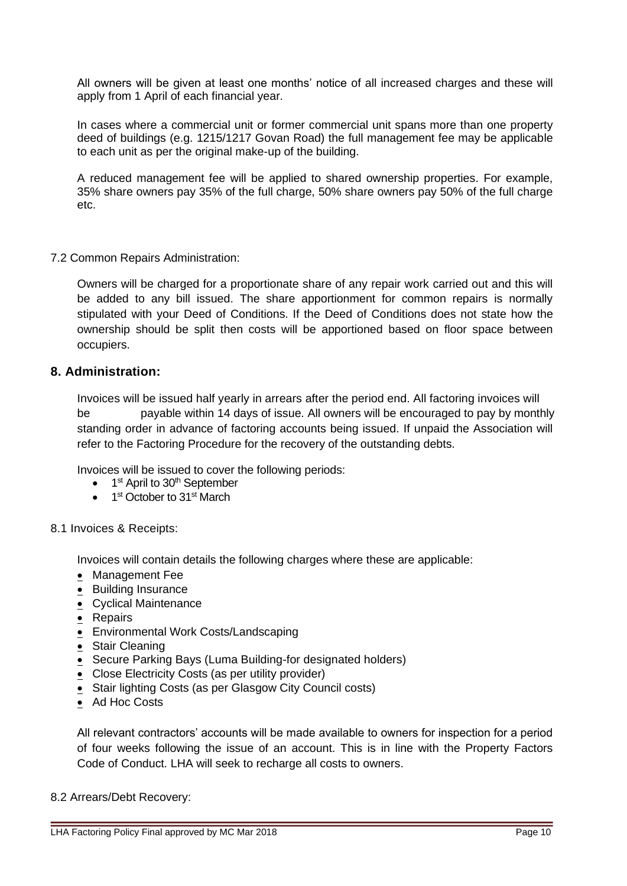All owners will be given at least one months' notice of all increased charges and these will apply from 1 April of each financial year.

In cases where a commercial unit or former commercial unit spans more than one property deed of buildings (e.g. 1215/1217 Govan Road) the full management fee may be applicable to each unit as per the original make-up of the building.

A reduced management fee will be applied to shared ownership properties. For example, 35% share owners pay 35% of the full charge, 50% share owners pay 50% of the full charge etc.

#### 7.2 Common Repairs Administration:

Owners will be charged for a proportionate share of any repair work carried out and this will be added to any bill issued. The share apportionment for common repairs is normally stipulated with your Deed of Conditions. If the Deed of Conditions does not state how the ownership should be split then costs will be apportioned based on floor space between occupiers.

#### **8. Administration:**

Invoices will be issued half yearly in arrears after the period end. All factoring invoices will be payable within 14 days of issue. All owners will be encouraged to pay by monthly standing order in advance of factoring accounts being issued. If unpaid the Association will refer to the Factoring Procedure for the recovery of the outstanding debts.

Invoices will be issued to cover the following periods:

- 1<sup>st</sup> April to 30<sup>th</sup> September
- 1<sup>st</sup> October to 31<sup>st</sup> March

#### 8.1 Invoices & Receipts:

Invoices will contain details the following charges where these are applicable:

- Management Fee
- Building Insurance
- **•** Cyclical Maintenance
- Repairs
- Environmental Work Costs/Landscaping
- Stair Cleaning
- Secure Parking Bays (Luma Building-for designated holders)
- Close Electricity Costs (as per utility provider)
- Stair lighting Costs (as per Glasgow City Council costs)
- Ad Hoc Costs

All relevant contractors' accounts will be made available to owners for inspection for a period of four weeks following the issue of an account. This is in line with the Property Factors Code of Conduct. LHA will seek to recharge all costs to owners.

#### 8.2 Arrears/Debt Recovery: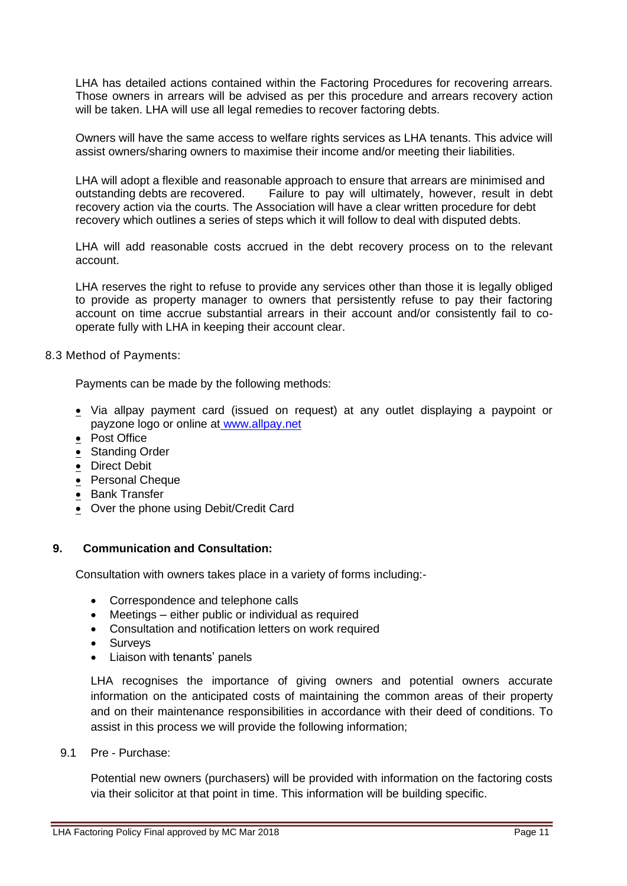LHA has detailed actions contained within the Factoring Procedures for recovering arrears. Those owners in arrears will be advised as per this procedure and arrears recovery action will be taken. LHA will use all legal remedies to recover factoring debts.

Owners will have the same access to welfare rights services as LHA tenants. This advice will assist owners/sharing owners to maximise their income and/or meeting their liabilities.

LHA will adopt a flexible and reasonable approach to ensure that arrears are minimised and outstanding debts are recovered. Failure to pay will ultimately, however, result in debt recovery action via the courts. The Association will have a clear written procedure for debt recovery which outlines a series of steps which it will follow to deal with disputed debts.

LHA will add reasonable costs accrued in the debt recovery process on to the relevant account.

LHA reserves the right to refuse to provide any services other than those it is legally obliged to provide as property manager to owners that persistently refuse to pay their factoring account on time accrue substantial arrears in their account and/or consistently fail to cooperate fully with LHA in keeping their account clear.

8.3 Method of Payments:

Payments can be made by the following methods:

- Via allpay payment card (issued on request) at any outlet displaying a paypoint or payzone logo or online at [www.allpay.net](http://www.allpay.net/)
- Post Office
- Standing Order
- Direct Debit
- Personal Cheque
- Bank Transfer
- Over the phone using Debit/Credit Card

#### **9. Communication and Consultation:**

Consultation with owners takes place in a variety of forms including:-

- Correspondence and telephone calls
- Meetings either public or individual as required
- Consultation and notification letters on work required
- Surveys
- Liaison with tenants' panels

LHA recognises the importance of giving owners and potential owners accurate information on the anticipated costs of maintaining the common areas of their property and on their maintenance responsibilities in accordance with their deed of conditions. To assist in this process we will provide the following information;

9.1 Pre - Purchase:

Potential new owners (purchasers) will be provided with information on the factoring costs via their solicitor at that point in time. This information will be building specific.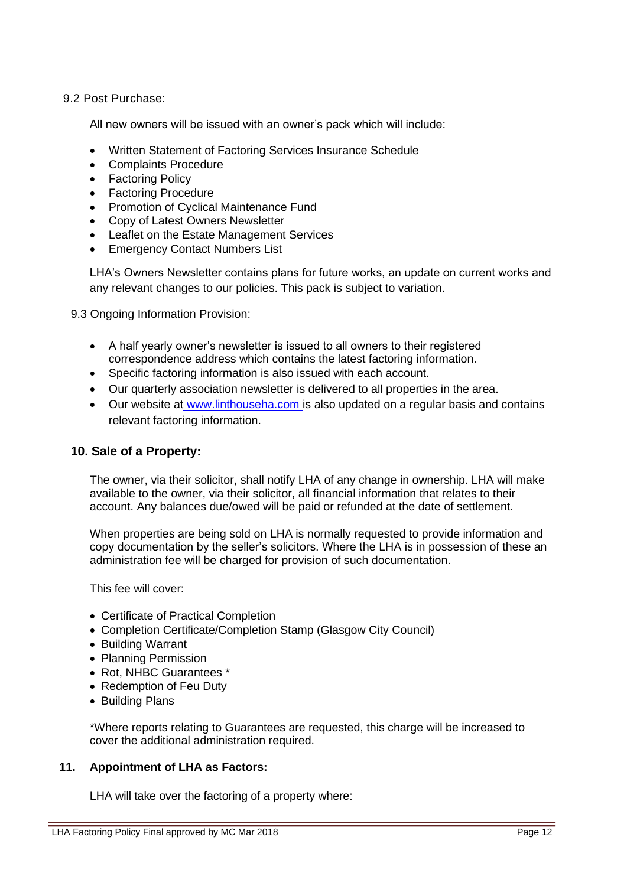#### 9.2 Post Purchase:

All new owners will be issued with an owner's pack which will include:

- Written Statement of Factoring Services Insurance Schedule
- Complaints Procedure
- Factoring Policy
- Factoring Procedure
- Promotion of Cyclical Maintenance Fund
- Copy of Latest Owners Newsletter
- Leaflet on the Estate Management Services
- Emergency Contact Numbers List

LHA's Owners Newsletter contains plans for future works, an update on current works and any relevant changes to our policies. This pack is subject to variation.

9.3 Ongoing Information Provision:

- A half yearly owner's newsletter is issued to all owners to their registered correspondence address which contains the latest factoring information.
- Specific factoring information is also issued with each account.
- Our quarterly association newsletter is delivered to all properties in the area.
- Our website at [www.linthouseha.com](http://www.linthouseha.com/) is also updated on a regular basis and contains relevant factoring information.

#### **10. Sale of a Property:**

The owner, via their solicitor, shall notify LHA of any change in ownership. LHA will make available to the owner, via their solicitor, all financial information that relates to their account. Any balances due/owed will be paid or refunded at the date of settlement.

When properties are being sold on LHA is normally requested to provide information and copy documentation by the seller's solicitors. Where the LHA is in possession of these an administration fee will be charged for provision of such documentation.

This fee will cover:

- Certificate of Practical Completion
- Completion Certificate/Completion Stamp (Glasgow City Council)
- Building Warrant
- Planning Permission
- Rot, NHBC Guarantees \*
- Redemption of Feu Duty
- Building Plans

\*Where reports relating to Guarantees are requested, this charge will be increased to cover the additional administration required.

#### **11. Appointment of LHA as Factors:**

LHA will take over the factoring of a property where: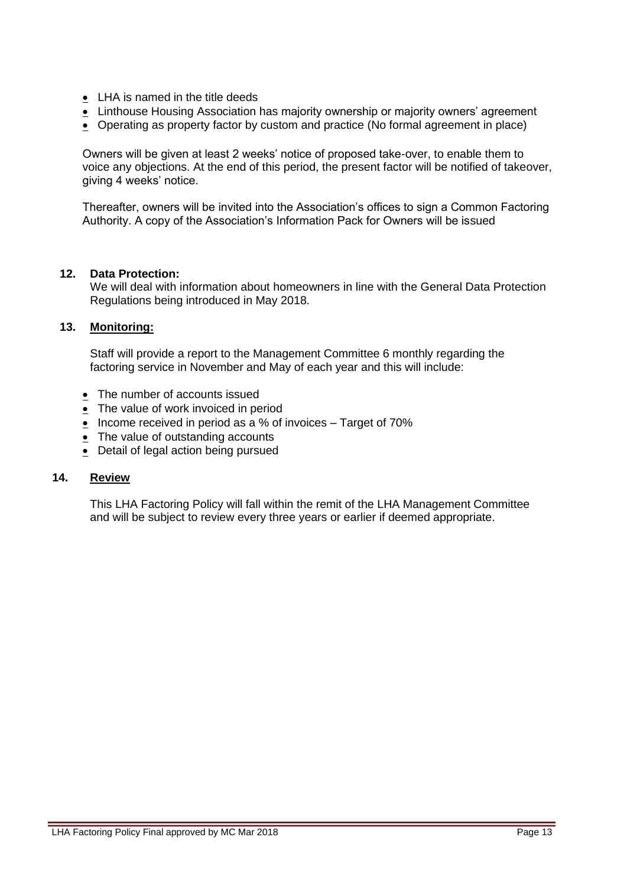- LHA is named in the title deeds
- Linthouse Housing Association has majority ownership or majority owners' agreement
- Operating as property factor by custom and practice (No formal agreement in place)

Owners will be given at least 2 weeks' notice of proposed take-over, to enable them to voice any objections. At the end of this period, the present factor will be notified of takeover, giving 4 weeks' notice.

Thereafter, owners will be invited into the Association's offices to sign a Common Factoring Authority. A copy of the Association's Information Pack for Owners will be issued

#### **12. Data Protection:**

We will deal with information about homeowners in line with the General Data Protection Regulations being introduced in May 2018.

#### **13. Monitoring:**

Staff will provide a report to the Management Committee 6 monthly regarding the factoring service in November and May of each year and this will include:

- The number of accounts issued
- The value of work invoiced in period
- Income received in period as a % of invoices Target of 70%
- $\bullet$  The value of outstanding accounts
- Detail of legal action being pursued

#### **14. Review**

This LHA Factoring Policy will fall within the remit of the LHA Management Committee and will be subject to review every three years or earlier if deemed appropriate.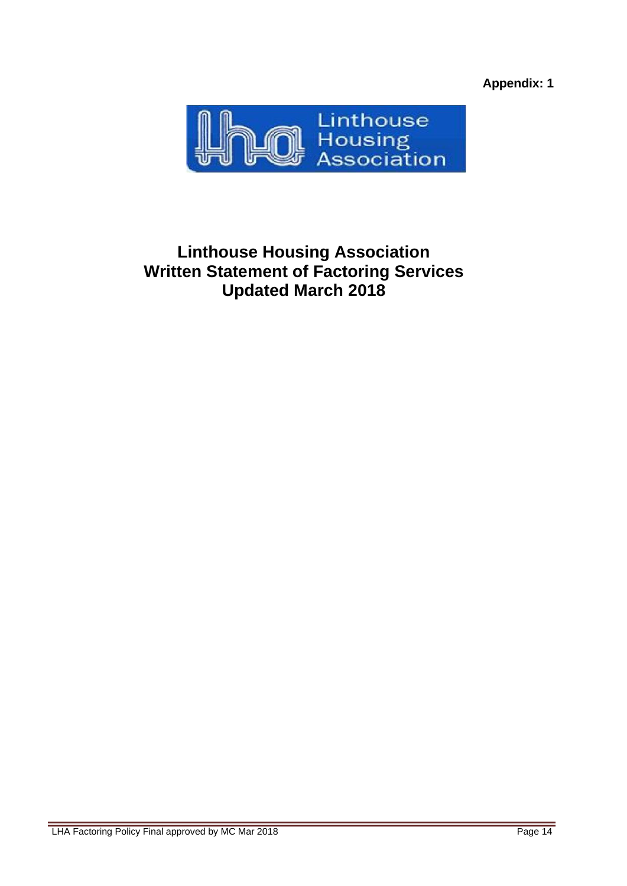**Appendix: 1**



# **Linthouse Housing Association Written Statement of Factoring Services Updated March 2018**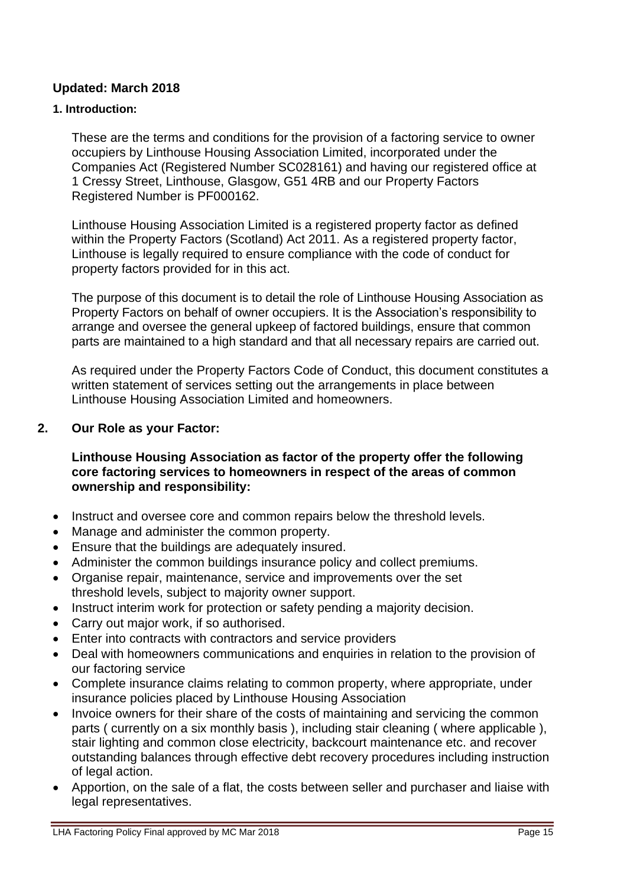## **Updated: March 2018**

## **1. Introduction:**

These are the terms and conditions for the provision of a factoring service to owner occupiers by Linthouse Housing Association Limited, incorporated under the Companies Act (Registered Number SC028161) and having our registered office at 1 Cressy Street, Linthouse, Glasgow, G51 4RB and our Property Factors Registered Number is PF000162.

Linthouse Housing Association Limited is a registered property factor as defined within the Property Factors (Scotland) Act 2011. As a registered property factor, Linthouse is legally required to ensure compliance with the code of conduct for property factors provided for in this act.

The purpose of this document is to detail the role of Linthouse Housing Association as Property Factors on behalf of owner occupiers. It is the Association's responsibility to arrange and oversee the general upkeep of factored buildings, ensure that common parts are maintained to a high standard and that all necessary repairs are carried out.

As required under the Property Factors Code of Conduct, this document constitutes a written statement of services setting out the arrangements in place between Linthouse Housing Association Limited and homeowners.

## **2. Our Role as your Factor:**

## **Linthouse Housing Association as factor of the property offer the following core factoring services to homeowners in respect of the areas of common ownership and responsibility:**

- Instruct and oversee core and common repairs below the threshold levels.
- Manage and administer the common property.
- Ensure that the buildings are adequately insured.
- Administer the common buildings insurance policy and collect premiums.
- Organise repair, maintenance, service and improvements over the set threshold levels, subject to majority owner support.
- Instruct interim work for protection or safety pending a majority decision.
- Carry out major work, if so authorised.
- Enter into contracts with contractors and service providers
- Deal with homeowners communications and enquiries in relation to the provision of our factoring service
- Complete insurance claims relating to common property, where appropriate, under insurance policies placed by Linthouse Housing Association
- Invoice owners for their share of the costs of maintaining and servicing the common parts ( currently on a six monthly basis ), including stair cleaning ( where applicable ), stair lighting and common close electricity, backcourt maintenance etc. and recover outstanding balances through effective debt recovery procedures including instruction of legal action.
- Apportion, on the sale of a flat, the costs between seller and purchaser and liaise with legal representatives.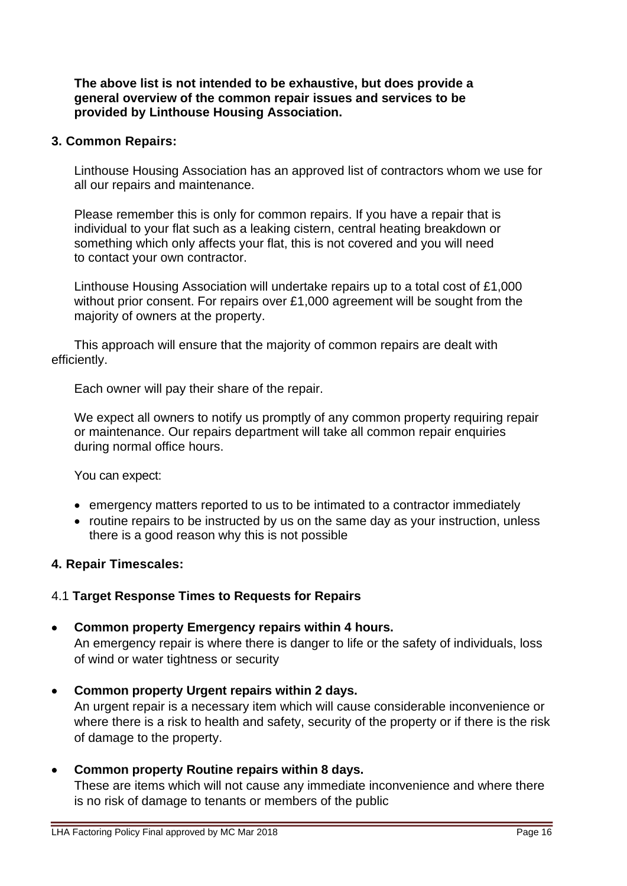### **The above list is not intended to be exhaustive, but does provide a general overview of the common repair issues and services to be provided by Linthouse Housing Association.**

## **3. Common Repairs:**

Linthouse Housing Association has an approved list of contractors whom we use for all our repairs and maintenance.

Please remember this is only for common repairs. If you have a repair that is individual to your flat such as a leaking cistern, central heating breakdown or something which only affects your flat, this is not covered and you will need to contact your own contractor.

Linthouse Housing Association will undertake repairs up to a total cost of £1,000 without prior consent. For repairs over £1,000 agreement will be sought from the majority of owners at the property.

This approach will ensure that the majority of common repairs are dealt with efficiently.

Each owner will pay their share of the repair.

We expect all owners to notify us promptly of any common property requiring repair or maintenance. Our repairs department will take all common repair enquiries during normal office hours.

You can expect:

- emergency matters reported to us to be intimated to a contractor immediately
- routine repairs to be instructed by us on the same day as your instruction, unless there is a good reason why this is not possible

## **4. Repair Timescales:**

## 4.1 **Target Response Times to Requests for Repairs**

- **Common property Emergency repairs within 4 hours.** An emergency repair is where there is danger to life or the safety of individuals, loss of wind or water tightness or security
- **Common property Urgent repairs within 2 days.** An urgent repair is a necessary item which will cause considerable inconvenience or where there is a risk to health and safety, security of the property or if there is the risk of damage to the property.

## • **Common property Routine repairs within 8 days.**

These are items which will not cause any immediate inconvenience and where there is no risk of damage to tenants or members of the public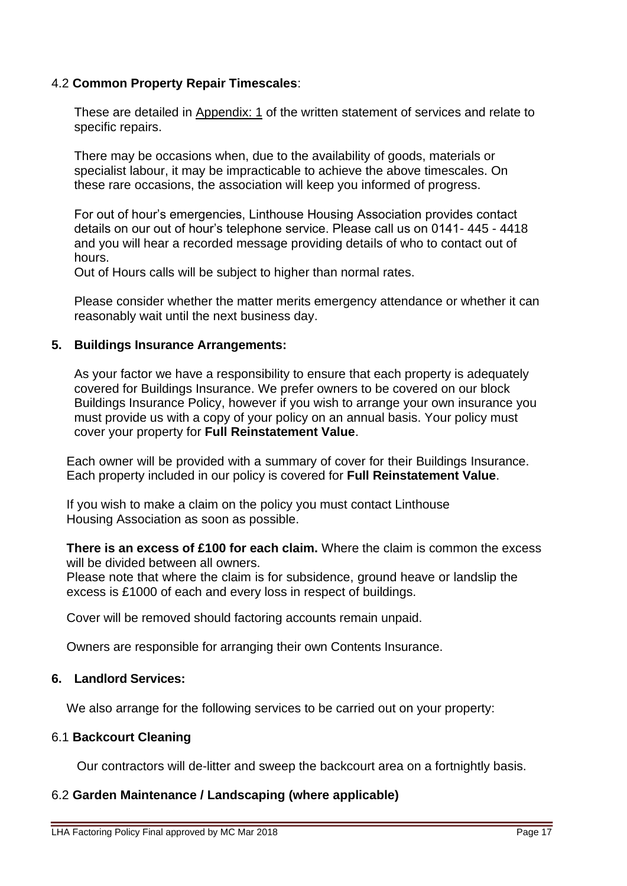## 4.2 **Common Property Repair Timescales**:

These are detailed in Appendix: 1 of the written statement of services and relate to specific repairs.

There may be occasions when, due to the availability of goods, materials or specialist labour, it may be impracticable to achieve the above timescales. On these rare occasions, the association will keep you informed of progress.

For out of hour's emergencies, Linthouse Housing Association provides contact details on our out of hour's telephone service. Please call us on 0141- 445 - 4418 and you will hear a recorded message providing details of who to contact out of hours.

Out of Hours calls will be subject to higher than normal rates.

Please consider whether the matter merits emergency attendance or whether it can reasonably wait until the next business day.

## **5. Buildings Insurance Arrangements:**

As your factor we have a responsibility to ensure that each property is adequately covered for Buildings Insurance. We prefer owners to be covered on our block Buildings Insurance Policy, however if you wish to arrange your own insurance you must provide us with a copy of your policy on an annual basis. Your policy must cover your property for **Full Reinstatement Value**.

Each owner will be provided with a summary of cover for their Buildings Insurance. Each property included in our policy is covered for **Full Reinstatement Value**.

If you wish to make a claim on the policy you must contact Linthouse Housing Association as soon as possible.

**There is an excess of £100 for each claim.** Where the claim is common the excess will be divided between all owners.

Please note that where the claim is for subsidence, ground heave or landslip the excess is £1000 of each and every loss in respect of buildings.

Cover will be removed should factoring accounts remain unpaid.

Owners are responsible for arranging their own Contents Insurance.

#### **6. Landlord Services:**

We also arrange for the following services to be carried out on your property:

#### 6.1 **Backcourt Cleaning**

Our contractors will de-litter and sweep the backcourt area on a fortnightly basis.

## 6.2 **Garden Maintenance / Landscaping (where applicable)**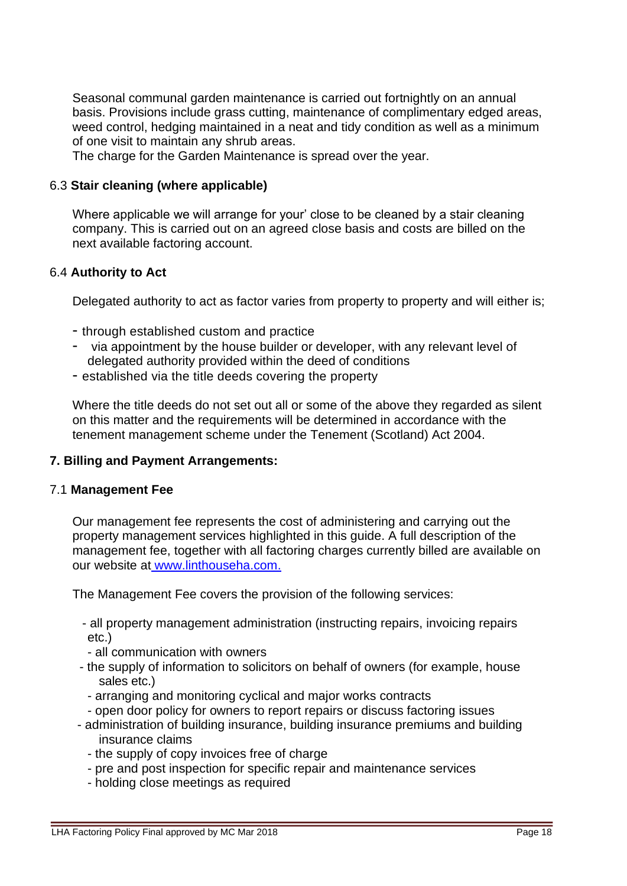Seasonal communal garden maintenance is carried out fortnightly on an annual basis. Provisions include grass cutting, maintenance of complimentary edged areas, weed control, hedging maintained in a neat and tidy condition as well as a minimum of one visit to maintain any shrub areas.

The charge for the Garden Maintenance is spread over the year.

## 6.3 **Stair cleaning (where applicable)**

Where applicable we will arrange for your' close to be cleaned by a stair cleaning company. This is carried out on an agreed close basis and costs are billed on the next available factoring account.

## 6.4 **Authority to Act**

Delegated authority to act as factor varies from property to property and will either is;

- through established custom and practice
- via appointment by the house builder or developer, with any relevant level of delegated authority provided within the deed of conditions
- established via the title deeds covering the property

Where the title deeds do not set out all or some of the above they regarded as silent on this matter and the requirements will be determined in accordance with the tenement management scheme under the Tenement (Scotland) Act 2004.

# **7. Billing and Payment Arrangements:**

## 7.1 **Management Fee**

Our management fee represents the cost of administering and carrying out the property management services highlighted in this guide. A full description of the management fee, together with all factoring charges currently billed are available on our website at [www.linthouseha.com.](http://www.linthouseha.com/)

The Management Fee covers the provision of the following services:

- all property management administration (instructing repairs, invoicing repairs etc.)
- all communication with owners
- the supply of information to solicitors on behalf of owners (for example, house sales etc.)
	- arranging and monitoring cyclical and major works contracts
	- open door policy for owners to report repairs or discuss factoring issues
- administration of building insurance, building insurance premiums and building insurance claims
	- the supply of copy invoices free of charge
	- pre and post inspection for specific repair and maintenance services
	- holding close meetings as required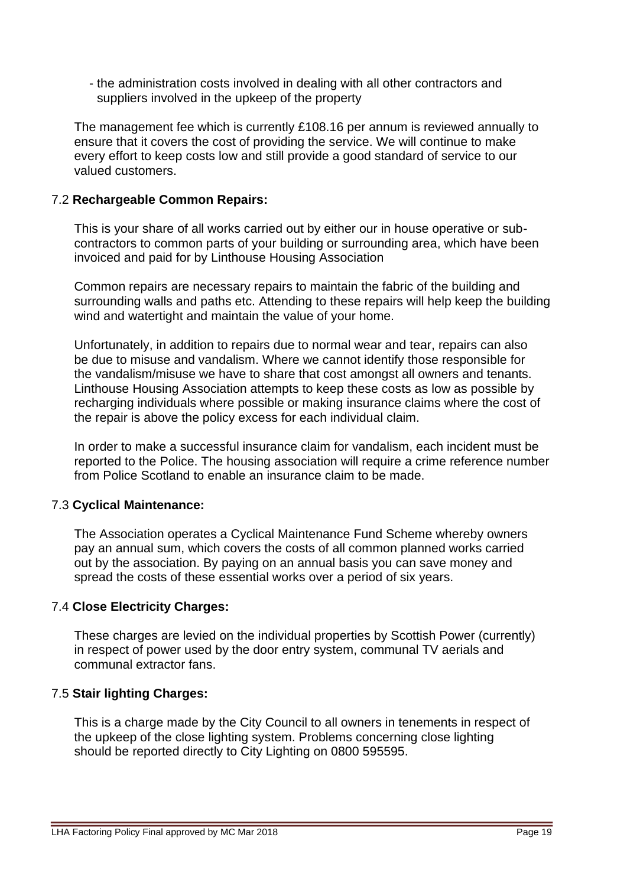- the administration costs involved in dealing with all other contractors and suppliers involved in the upkeep of the property

The management fee which is currently £108.16 per annum is reviewed annually to ensure that it covers the cost of providing the service. We will continue to make every effort to keep costs low and still provide a good standard of service to our valued customers.

## 7.2 **Rechargeable Common Repairs:**

This is your share of all works carried out by either our in house operative or subcontractors to common parts of your building or surrounding area, which have been invoiced and paid for by Linthouse Housing Association

Common repairs are necessary repairs to maintain the fabric of the building and surrounding walls and paths etc. Attending to these repairs will help keep the building wind and watertight and maintain the value of your home.

Unfortunately, in addition to repairs due to normal wear and tear, repairs can also be due to misuse and vandalism. Where we cannot identify those responsible for the vandalism/misuse we have to share that cost amongst all owners and tenants. Linthouse Housing Association attempts to keep these costs as low as possible by recharging individuals where possible or making insurance claims where the cost of the repair is above the policy excess for each individual claim.

In order to make a successful insurance claim for vandalism, each incident must be reported to the Police. The housing association will require a crime reference number from Police Scotland to enable an insurance claim to be made.

# 7.3 **Cyclical Maintenance:**

The Association operates a Cyclical Maintenance Fund Scheme whereby owners pay an annual sum, which covers the costs of all common planned works carried out by the association. By paying on an annual basis you can save money and spread the costs of these essential works over a period of six years.

# 7.4 **Close Electricity Charges:**

These charges are levied on the individual properties by Scottish Power (currently) in respect of power used by the door entry system, communal TV aerials and communal extractor fans.

## 7.5 **Stair lighting Charges:**

This is a charge made by the City Council to all owners in tenements in respect of the upkeep of the close lighting system. Problems concerning close lighting should be reported directly to City Lighting on 0800 595595.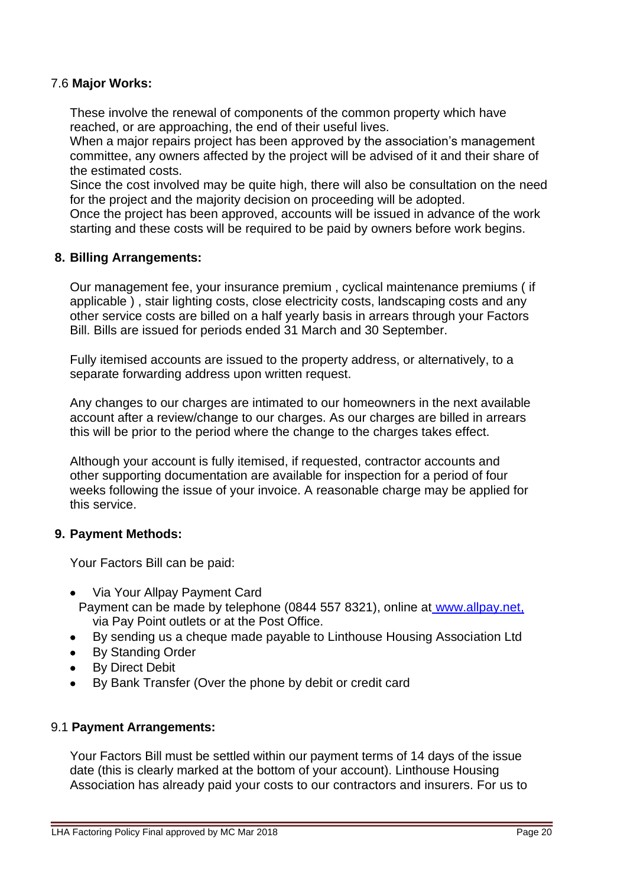## 7.6 **Major Works:**

These involve the renewal of components of the common property which have reached, or are approaching, the end of their useful lives.

When a major repairs project has been approved by the association's management committee, any owners affected by the project will be advised of it and their share of the estimated costs.

Since the cost involved may be quite high, there will also be consultation on the need for the project and the majority decision on proceeding will be adopted.

Once the project has been approved, accounts will be issued in advance of the work starting and these costs will be required to be paid by owners before work begins.

#### **8. Billing Arrangements:**

Our management fee, your insurance premium , cyclical maintenance premiums ( if applicable ) , stair lighting costs, close electricity costs, landscaping costs and any other service costs are billed on a half yearly basis in arrears through your Factors Bill. Bills are issued for periods ended 31 March and 30 September.

Fully itemised accounts are issued to the property address, or alternatively, to a separate forwarding address upon written request.

Any changes to our charges are intimated to our homeowners in the next available account after a review/change to our charges. As our charges are billed in arrears this will be prior to the period where the change to the charges takes effect.

Although your account is fully itemised, if requested, contractor accounts and other supporting documentation are available for inspection for a period of four weeks following the issue of your invoice. A reasonable charge may be applied for this service.

## **9. Payment Methods:**

Your Factors Bill can be paid:

- Via Your Allpay Payment Card
- Payment can be made by telephone (0844 557 8321), online at [www.allpay.net,](http://www.allpay.net/) via Pay Point outlets or at the Post Office.
- By sending us a cheque made payable to Linthouse Housing Association Ltd
- By Standing Order
- By Direct Debit
- By Bank Transfer (Over the phone by debit or credit card

#### 9.1 **Payment Arrangements:**

Your Factors Bill must be settled within our payment terms of 14 days of the issue date (this is clearly marked at the bottom of your account). Linthouse Housing Association has already paid your costs to our contractors and insurers. For us to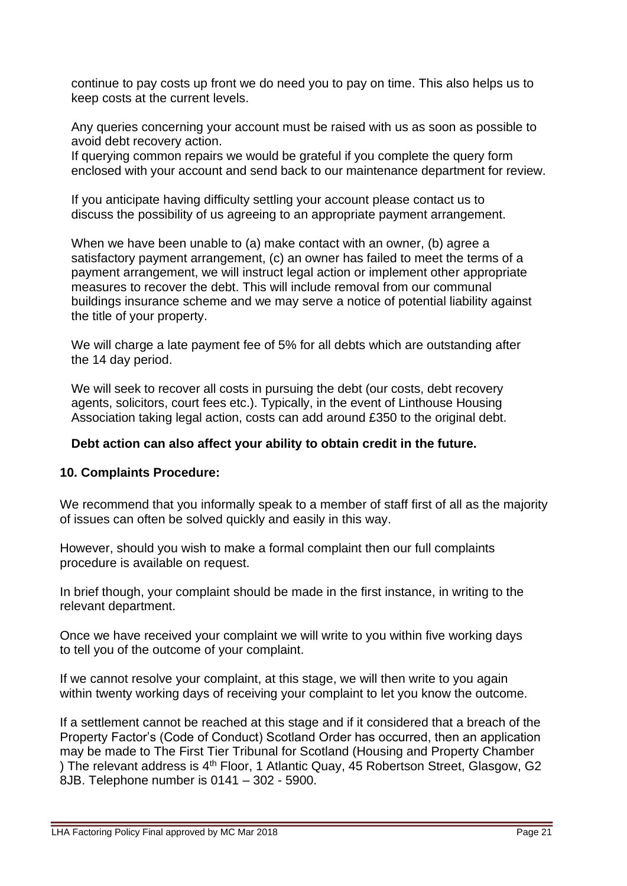continue to pay costs up front we do need you to pay on time. This also helps us to keep costs at the current levels.

Any queries concerning your account must be raised with us as soon as possible to avoid debt recovery action.

If querying common repairs we would be grateful if you complete the query form enclosed with your account and send back to our maintenance department for review.

If you anticipate having difficulty settling your account please contact us to discuss the possibility of us agreeing to an appropriate payment arrangement.

When we have been unable to (a) make contact with an owner, (b) agree a satisfactory payment arrangement, (c) an owner has failed to meet the terms of a payment arrangement, we will instruct legal action or implement other appropriate measures to recover the debt. This will include removal from our communal buildings insurance scheme and we may serve a notice of potential liability against the title of your property.

We will charge a late payment fee of 5% for all debts which are outstanding after the 14 day period.

We will seek to recover all costs in pursuing the debt (our costs, debt recovery agents, solicitors, court fees etc.). Typically, in the event of Linthouse Housing Association taking legal action, costs can add around £350 to the original debt.

## **Debt action can also affect your ability to obtain credit in the future.**

## **10. Complaints Procedure:**

We recommend that you informally speak to a member of staff first of all as the majority of issues can often be solved quickly and easily in this way.

However, should you wish to make a formal complaint then our full complaints procedure is available on request.

In brief though, your complaint should be made in the first instance, in writing to the relevant department.

Once we have received your complaint we will write to you within five working days to tell you of the outcome of your complaint.

If we cannot resolve your complaint, at this stage, we will then write to you again within twenty working days of receiving your complaint to let you know the outcome.

If a settlement cannot be reached at this stage and if it considered that a breach of the Property Factor's (Code of Conduct) Scotland Order has occurred, then an application may be made to The First Tier Tribunal for Scotland (Housing and Property Chamber ) The relevant address is 4<sup>th</sup> Floor, 1 Atlantic Quay, 45 Robertson Street, Glasgow, G2 8JB. Telephone number is 0141 – 302 - 5900.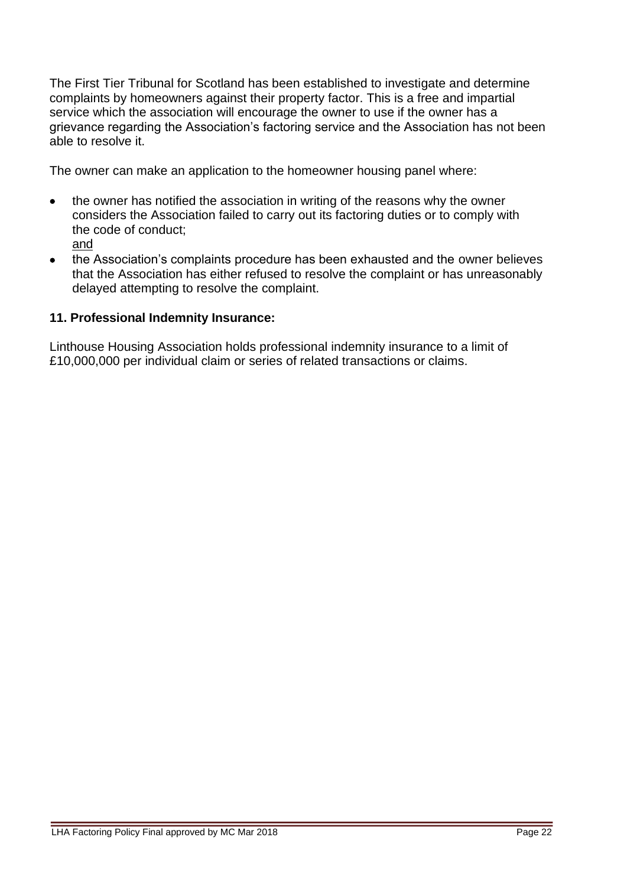The First Tier Tribunal for Scotland has been established to investigate and determine complaints by homeowners against their property factor. This is a free and impartial service which the association will encourage the owner to use if the owner has a grievance regarding the Association's factoring service and the Association has not been able to resolve it.

The owner can make an application to the homeowner housing panel where:

- the owner has notified the association in writing of the reasons why the owner considers the Association failed to carry out its factoring duties or to comply with the code of conduct; and
- the Association's complaints procedure has been exhausted and the owner believes that the Association has either refused to resolve the complaint or has unreasonably delayed attempting to resolve the complaint.

## **11. Professional Indemnity Insurance:**

Linthouse Housing Association holds professional indemnity insurance to a limit of £10,000,000 per individual claim or series of related transactions or claims.